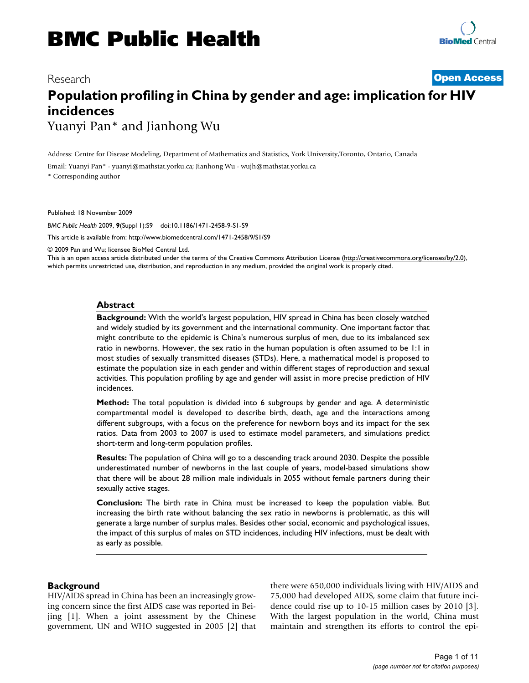# Research **[Open Access](http://www.biomedcentral.com/info/about/charter/) Population profiling in China by gender and age: implication for HIV incidences** Yuanyi Pan\* and Jianhong Wu

Address: Centre for Disease Modeling, Department of Mathematics and Statistics, York University,Toronto, Ontario, Canada

Email: Yuanyi Pan\* - yuanyi@mathstat.yorku.ca; Jianhong Wu - wujh@mathstat.yorku.ca

\* Corresponding author

Published: 18 November 2009

*BMC Public Health* 2009, **9**(Suppl 1):S9 doi:10.1186/1471-2458-9-S1-S9

[This article is available from: http://www.biomedcentral.com/1471-2458/9/S1/S9](http://www.biomedcentral.com/1471-2458/9/S1/S9)

© 2009 Pan and Wu; licensee BioMed Central Ltd.

This is an open access article distributed under the terms of the Creative Commons Attribution License [\(http://creativecommons.org/licenses/by/2.0\)](http://creativecommons.org/licenses/by/2.0), which permits unrestricted use, distribution, and reproduction in any medium, provided the original work is properly cited.

#### **Abstract**

**Background:** With the world's largest population, HIV spread in China has been closely watched and widely studied by its government and the international community. One important factor that might contribute to the epidemic is China's numerous surplus of men, due to its imbalanced sex ratio in newborns. However, the sex ratio in the human population is often assumed to be 1:1 in most studies of sexually transmitted diseases (STDs). Here, a mathematical model is proposed to estimate the population size in each gender and within different stages of reproduction and sexual activities. This population profiling by age and gender will assist in more precise prediction of HIV incidences.

**Method:** The total population is divided into 6 subgroups by gender and age. A deterministic compartmental model is developed to describe birth, death, age and the interactions among different subgroups, with a focus on the preference for newborn boys and its impact for the sex ratios. Data from 2003 to 2007 is used to estimate model parameters, and simulations predict short-term and long-term population profiles.

**Results:** The population of China will go to a descending track around 2030. Despite the possible underestimated number of newborns in the last couple of years, model-based simulations show that there will be about 28 million male individuals in 2055 without female partners during their sexually active stages.

**Conclusion:** The birth rate in China must be increased to keep the population viable. But increasing the birth rate without balancing the sex ratio in newborns is problematic, as this will generate a large number of surplus males. Besides other social, economic and psychological issues, the impact of this surplus of males on STD incidences, including HIV infections, must be dealt with as early as possible.

## **Background**

HIV/AIDS spread in China has been an increasingly growing concern since the first AIDS case was reported in Beijing [1]. When a joint assessment by the Chinese government, UN and WHO suggested in 2005 [2] that there were 650,000 individuals living with HIV/AIDS and 75,000 had developed AIDS, some claim that future incidence could rise up to 10-15 million cases by 2010 [3]. With the largest population in the world, China must maintain and strengthen its efforts to control the epi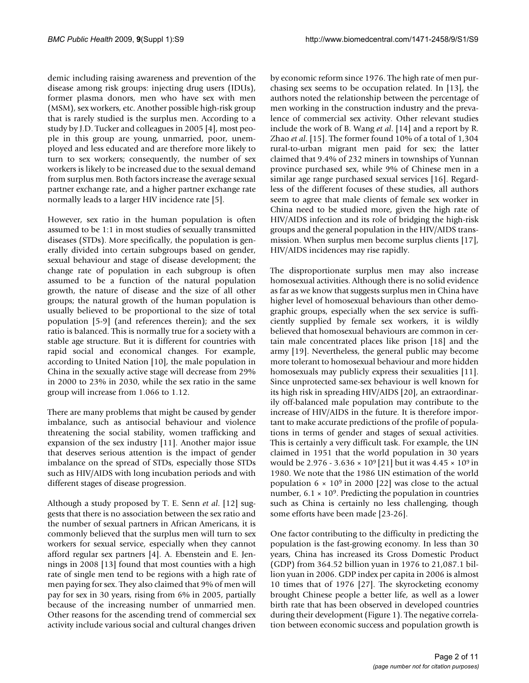demic including raising awareness and prevention of the disease among risk groups: injecting drug users (IDUs), former plasma donors, men who have sex with men (MSM), sex workers, etc. Another possible high-risk group that is rarely studied is the surplus men. According to a study by J.D. Tucker and colleagues in 2005 [4], most people in this group are young, unmarried, poor, unemployed and less educated and are therefore more likely to turn to sex workers; consequently, the number of sex workers is likely to be increased due to the sexual demand from surplus men. Both factors increase the average sexual partner exchange rate, and a higher partner exchange rate normally leads to a larger HIV incidence rate [5].

However, sex ratio in the human population is often assumed to be 1:1 in most studies of sexually transmitted diseases (STDs). More specifically, the population is generally divided into certain subgroups based on gender, sexual behaviour and stage of disease development; the change rate of population in each subgroup is often assumed to be a function of the natural population growth, the nature of disease and the size of all other groups; the natural growth of the human population is usually believed to be proportional to the size of total population [5-9] (and references therein); and the sex ratio is balanced. This is normally true for a society with a stable age structure. But it is different for countries with rapid social and economical changes. For example, according to United Nation [10], the male population in China in the sexually active stage will decrease from 29% in 2000 to 23% in 2030, while the sex ratio in the same group will increase from 1.066 to 1.12.

There are many problems that might be caused by gender imbalance, such as antisocial behaviour and violence threatening the social stability, women trafficking and expansion of the sex industry [11]. Another major issue that deserves serious attention is the impact of gender imbalance on the spread of STDs, especially those STDs such as HIV/AIDS with long incubation periods and with different stages of disease progression.

Although a study proposed by T. E. Senn *et al*. [12] suggests that there is no association between the sex ratio and the number of sexual partners in African Americans, it is commonly believed that the surplus men will turn to sex workers for sexual service, especially when they cannot afford regular sex partners [4]. A. Ebenstein and E. Jennings in 2008 [13] found that most counties with a high rate of single men tend to be regions with a high rate of men paying for sex. They also claimed that 9% of men will pay for sex in 30 years, rising from 6% in 2005, partially because of the increasing number of unmarried men. Other reasons for the ascending trend of commercial sex activity include various social and cultural changes driven

by economic reform since 1976. The high rate of men purchasing sex seems to be occupation related. In [13], the authors noted the relationship between the percentage of men working in the construction industry and the prevalence of commercial sex activity. Other relevant studies include the work of B. Wang *et al*. [14] and a report by R. Zhao *et al*. [15]. The former found 10% of a total of 1,304 rural-to-urban migrant men paid for sex; the latter claimed that 9.4% of 232 miners in townships of Yunnan province purchased sex, while 9% of Chinese men in a similar age range purchased sexual services [16]. Regardless of the different focuses of these studies, all authors seem to agree that male clients of female sex worker in China need to be studied more, given the high rate of HIV/AIDS infection and its role of bridging the high-risk groups and the general population in the HIV/AIDS transmission. When surplus men become surplus clients [17], HIV/AIDS incidences may rise rapidly.

The disproportionate surplus men may also increase homosexual activities. Although there is no solid evidence as far as we know that suggests surplus men in China have higher level of homosexual behaviours than other demographic groups, especially when the sex service is sufficiently supplied by female sex workers, it is wildly believed that homosexual behaviours are common in certain male concentrated places like prison [18] and the army [19]. Nevertheless, the general public may become more tolerant to homosexual behaviour and more hidden homosexuals may publicly express their sexualities [11]. Since unprotected same-sex behaviour is well known for its high risk in spreading HIV/AIDS [20], an extraordinarily off-balanced male population may contribute to the increase of HIV/AIDS in the future. It is therefore important to make accurate predictions of the profile of populations in terms of gender and stages of sexual activities. This is certainly a very difficult task. For example, the UN claimed in 1951 that the world population in 30 years would be 2.976 - 3.636  $\times$  10<sup>9</sup> [21] but it was 4.45  $\times$  10<sup>9</sup> in 1980. We note that the 1986 UN estimation of the world population  $6 \times 10^9$  in 2000 [22] was close to the actual number,  $6.1 \times 10^9$ . Predicting the population in countries such as China is certainly no less challenging, though some efforts have been made [23-26].

One factor contributing to the difficulty in predicting the population is the fast-growing economy. In less than 30 years, China has increased its Gross Domestic Product (GDP) from 364.52 billion yuan in 1976 to 21,087.1 billion yuan in 2006. GDP index per capita in 2006 is almost 10 times that of 1976 [27]. The skyrocketing economy brought Chinese people a better life, as well as a lower birth rate that has been observed in developed countries during their development (Figure 1). The negative correlation between economic success and population growth is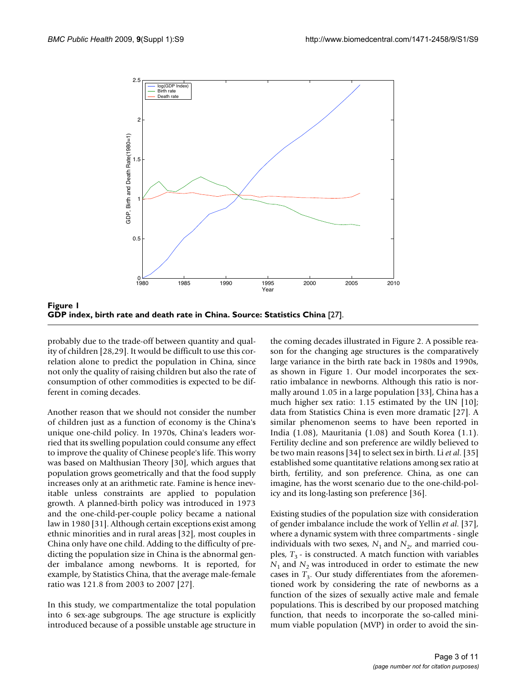

Figure 1 **GDP index, birth rate and death rate in China. Source: Statistics China** [27].

probably due to the trade-off between quantity and quality of children [28,29]. It would be difficult to use this correlation alone to predict the population in China, since not only the quality of raising children but also the rate of consumption of other commodities is expected to be different in coming decades.

Another reason that we should not consider the number of children just as a function of economy is the China's unique one-child policy. In 1970s, China's leaders worried that its swelling population could consume any effect to improve the quality of Chinese people's life. This worry was based on Malthusian Theory [30], which argues that population grows geometrically and that the food supply increases only at an arithmetic rate. Famine is hence inevitable unless constraints are applied to population growth. A planned-birth policy was introduced in 1973 and the one-child-per-couple policy became a national law in 1980 [31]. Although certain exceptions exist among ethnic minorities and in rural areas [32], most couples in China only have one child. Adding to the difficulty of predicting the population size in China is the abnormal gender imbalance among newborns. It is reported, for example, by Statistics China, that the average male-female ratio was 121.8 from 2003 to 2007 [27].

In this study, we compartmentalize the total population into 6 sex-age subgroups. The age structure is explicitly introduced because of a possible unstable age structure in

the coming decades illustrated in Figure 2. A possible reason for the changing age structures is the comparatively large variance in the birth rate back in 1980s and 1990s, as shown in Figure 1. Our model incorporates the sexratio imbalance in newborns. Although this ratio is normally around 1.05 in a large population [33], China has a much higher sex ratio: 1.15 estimated by the UN [10]; data from Statistics China is even more dramatic [27]. A similar phenomenon seems to have been reported in India (1.08), Mauritania (1.08) and South Korea (1.1). Fertility decline and son preference are wildly believed to be two main reasons [34] to select sex in birth. Li *et al*. [35] established some quantitative relations among sex ratio at birth, fertility, and son preference. China, as one can imagine, has the worst scenario due to the one-child-policy and its long-lasting son preference [36].

Existing studies of the population size with consideration of gender imbalance include the work of Yellin *et al*. [37], where a dynamic system with three compartments - single individuals with two sexes,  $N_1$  and  $N_2$ , and married couples,  $T_3$  - is constructed. A match function with variables  $N_1$  and  $N_2$  was introduced in order to estimate the new cases in  $T_3$ . Our study differentiates from the aforementioned work by considering the rate of newborns as a function of the sizes of sexually active male and female populations. This is described by our proposed matching function, that needs to incorporate the so-called minimum viable population (MVP) in order to avoid the sin-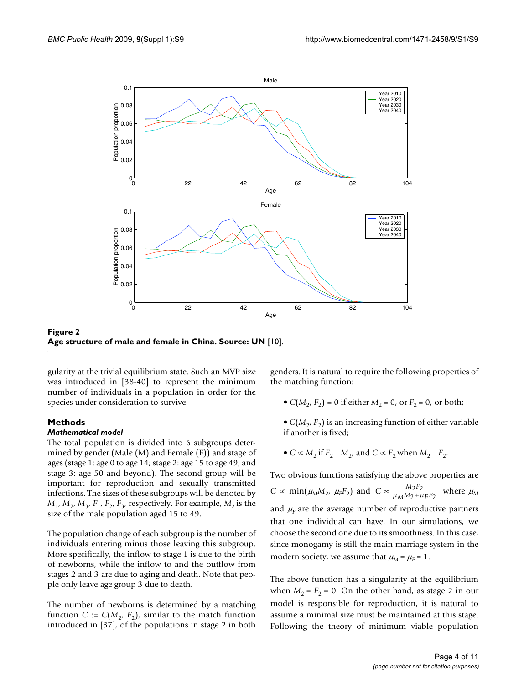

**Age structure of male and female in China. Source: UN** [10].

gularity at the trivial equilibrium state. Such an MVP size was introduced in [38-40] to represent the minimum number of individuals in a population in order for the species under consideration to survive.

## **Methods**

**Figure 2** 

## *Mathematical model*

The total population is divided into 6 subgroups determined by gender (Male (M) and Female (F)) and stage of ages (stage 1: age 0 to age 14; stage 2: age 15 to age 49; and stage 3: age 50 and beyond). The second group will be important for reproduction and sexually transmitted infections. The sizes of these subgroups will be denoted by  $M_1$ ,  $M_2$ ,  $M_3$ ,  $F_1$ ,  $F_2$ ,  $F_3$ , respectively. For example,  $M_2$  is the size of the male population aged 15 to 49.

The population change of each subgroup is the number of individuals entering minus those leaving this subgroup. More specifically, the inflow to stage 1 is due to the birth of newborns, while the inflow to and the outflow from stages 2 and 3 are due to aging and death. Note that people only leave age group 3 due to death.

The number of newborns is determined by a matching function *C* :=  $C(M_2, F_2)$ , similar to the match function introduced in [37], of the populations in stage 2 in both

genders. It is natural to require the following properties of the matching function:

- $C(M_2, F_2) = 0$  if either  $M_2 = 0$ , or  $F_2 = 0$ , or both;
- $C(M_2, F_2)$  is an increasing function of either variable if another is fixed;
- $C \propto M_2$  if  $F_2$ <sup>-</sup> $M_2$ , and  $C \propto F_2$  when  $M_2$ <sup>-</sup> $F_2$ .

Two obvious functions satisfying the above properties are  $C \propto \min(\mu_M M_2, \ \mu_F F_2)$  and  $C \propto \frac{M_2 F_2}{\mu_M M_2 + \mu_F F_2}$  where  $\mu_M$ and  $\mu_F$  are the average number of reproductive partners that one individual can have. In our simulations, we choose the second one due to its smoothness. In this case, since monogamy is still the main marriage system in the modern society, we assume that  $\mu_M = \mu_F = 1$ .  $\mu_M$ M $_2$ + $\mu_F$ r $_2$ 

The above function has a singularity at the equilibrium when  $M_2 = F_2 = 0$ . On the other hand, as stage 2 in our model is responsible for reproduction, it is natural to assume a minimal size must be maintained at this stage. Following the theory of minimum viable population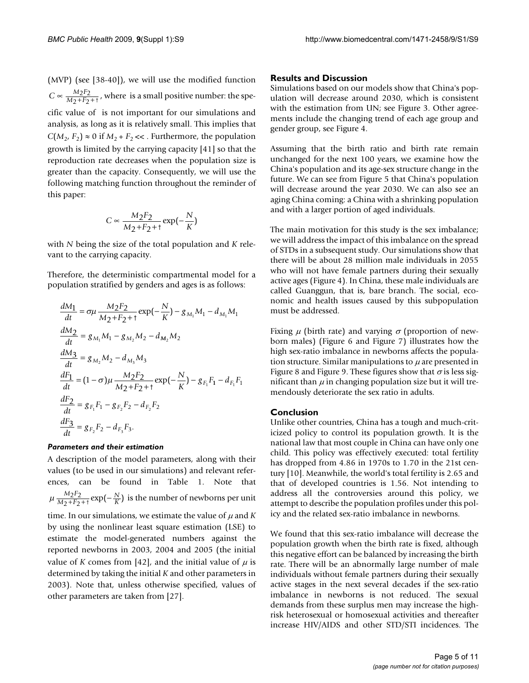(MVP) (see [38-40]), we will use the modified function  $C \propto \frac{M_2 F_2}{M_2 + F_2 + t}$ , where is a small positive number: the specific value of is not important for our simulations and analysis, as long as it is relatively small. This implies that  $C(M_2, F_2) \approx 0$  if  $M_2 + F_2 \ll 1$ . Furthermore, the population growth is limited by the carrying capacity [41] so that the reproduction rate decreases when the population size is greater than the capacity. Consequently, we will use the following matching function throughout the reminder of this paper:

$$
C \propto \frac{M_2 F_2}{M_2 + F_2 + 1} \exp\left(-\frac{N}{K}\right)
$$

with *N* being the size of the total population and *K* relevant to the carrying capacity.

Therefore, the deterministic compartmental model for a population stratified by genders and ages is as follows:

$$
\frac{dM_1}{dt} = \sigma \mu \frac{M_2 F_2}{M_2 + F_2 + t} \exp(-\frac{N}{K}) - g_{M_1} M_1 - d_{M_1} M_1
$$
\n
$$
\frac{dM_2}{dt} = g_{M_1} M_1 - g_{M_2} M_2 - d_{M_2} M_2
$$
\n
$$
\frac{dM_3}{dt} = g_{M_2} M_2 - d_{M_3} M_3
$$
\n
$$
\frac{dF_1}{dt} = (1 - \sigma) \mu \frac{M_2 F_2}{M_2 + F_2 + t} \exp(-\frac{N}{K}) - g_{F_1} F_1 - d_{F_1} F_1
$$
\n
$$
\frac{dF_2}{dt} = g_{F_1} F_1 - g_{F_2} F_2 - d_{F_2} F_2
$$
\n
$$
\frac{dF_3}{dt} = g_{F_2} F_2 - d_{F_3} F_3.
$$

#### *Parameters and their estimation*

A description of the model parameters, along with their values (to be used in our simulations) and relevant references, can be found in Table 1. Note that  $\mu \frac{M_2 F_2}{M_2 + F_2 + 1}$  exp( $-\frac{N}{V}$ ) is the number of newborns per unit time. In our simulations, we estimate the value of  $\mu$  and  $K$ by using the nonlinear least square estimation (LSE) to estimate the model-generated numbers against the reported newborns in 2003, 2004 and 2005 (the initial value of *K* comes from [42], and the initial value of  $\mu$  is determined by taking the initial *K* and other parameters in 2003). Note that, unless otherwise specified, values of other parameters are taken from [27].  $M_2 + F$ *N*  $\frac{M_2 F_2}{2 + F_2 + \tau} \exp(-\frac{N}{K})$ 

#### **Results and Discussion**

Simulations based on our models show that China's population will decrease around 2030, which is consistent with the estimation from UN; see Figure 3. Other agreements include the changing trend of each age group and gender group, see Figure 4.

Assuming that the birth ratio and birth rate remain unchanged for the next 100 years, we examine how the China's population and its age-sex structure change in the future. We can see from Figure 5 that China's population will decrease around the year 2030. We can also see an aging China coming: a China with a shrinking population and with a larger portion of aged individuals.

The main motivation for this study is the sex imbalance; we will address the impact of this imbalance on the spread of STDs in a subsequent study. Our simulations show that there will be about 28 million male individuals in 2055 who will not have female partners during their sexually active ages (Figure 4). In China, these male individuals are called Guanggun, that is, bare branch. The social, economic and health issues caused by this subpopulation must be addressed.

Fixing  $\mu$  (birth rate) and varying  $\sigma$  (proportion of newborn males) (Figure 6 and Figure 7) illustrates how the high sex-ratio imbalance in newborns affects the population structure. Similar manipulations to  $\mu$  are presented in Figure 8 and Figure 9. These figures show that  $\sigma$  is less significant than  $\mu$  in changing population size but it will tremendously deteriorate the sex ratio in adults.

# **Conclusion**

Unlike other countries, China has a tough and much-criticized policy to control its population growth. It is the national law that most couple in China can have only one child. This policy was effectively executed: total fertility has dropped from 4.86 in 1970s to 1.70 in the 21st century [10]. Meanwhile, the world's total fertility is 2.65 and that of developed countries is 1.56. Not intending to address all the controversies around this policy, we attempt to describe the population profiles under this policy and the related sex-ratio imbalance in newborns.

We found that this sex-ratio imbalance will decrease the population growth when the birth rate is fixed, although this negative effort can be balanced by increasing the birth rate. There will be an abnormally large number of male individuals without female partners during their sexually active stages in the next several decades if the sex-ratio imbalance in newborns is not reduced. The sexual demands from these surplus men may increase the highrisk heterosexual or homosexual activities and thereafter increase HIV/AIDS and other STD/STI incidences. The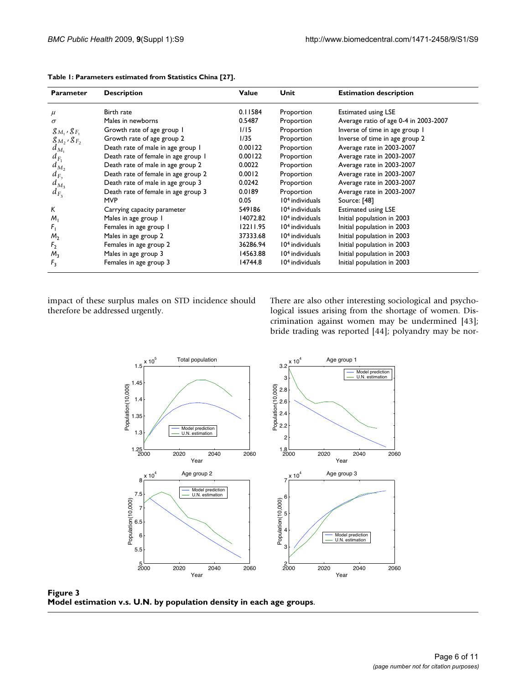| <b>Parameter</b>      | <b>Description</b>                  | Value    | Unit                        | <b>Estimation description</b>         |
|-----------------------|-------------------------------------|----------|-----------------------------|---------------------------------------|
| $\mu$                 | Birth rate                          | 0.11584  | Proportion                  | <b>Estimated using LSE</b>            |
| $\sigma$              | Males in newborns                   | 0.5487   | Proportion                  | Average ratio of age 0-4 in 2003-2007 |
| $g_{M_1}$ , $g_{F_1}$ | Growth rate of age group 1          | 1/15     | Proportion                  | Inverse of time in age group I        |
| $g_{M_2}$ , $g_{F_2}$ | Growth rate of age group 2          | 1/35     | Proportion                  | Inverse of time in age group 2        |
| $d_{M_1}$             | Death rate of male in age group 1   | 0.00122  | Proportion                  | Average rate in 2003-2007             |
| $d_{F_1}$             | Death rate of female in age group I | 0.00122  | Proportion                  | Average rate in 2003-2007             |
| $d_{M_2}$             | Death rate of male in age group 2   | 0.0022   | Proportion                  | Average rate in 2003-2007             |
| $d_{F_2}$             | Death rate of female in age group 2 | 0.0012   | Proportion                  | Average rate in 2003-2007             |
| $d_{M_3}$             | Death rate of male in age group 3   | 0.0242   | Proportion                  | Average rate in 2003-2007             |
| $d_{F_3}$             | Death rate of female in age group 3 | 0.0189   | Proportion                  | Average rate in 2003-2007             |
|                       | <b>MVP</b>                          | 0.05     | 10 <sup>4</sup> individuals | Source: [48]                          |
| K                     | Carrying capacity parameter         | 549186   | 10 <sup>4</sup> individuals | <b>Estimated using LSE</b>            |
| $M_1$                 | Males in age group 1                | 14072.82 | $104$ individuals           | Initial population in 2003            |
| $F_1$                 | Females in age group I              | 12211.95 | 10 <sup>4</sup> individuals | Initial population in 2003            |
| M <sub>2</sub>        | Males in age group 2                | 37333.68 | 10 <sup>4</sup> individuals | Initial population in 2003            |
| F <sub>2</sub>        | Females in age group 2              | 36286.94 | $104$ individuals           | Initial population in 2003            |
| $M_{\rm R}$           | Males in age group 3                | 14563.88 | 10 <sup>4</sup> individuals | Initial population in 2003            |
| $F_3$                 | Females in age group 3              | 14744.8  | $104$ individuals           | Initial population in 2003            |

| Table 1: Parameters estimated from Statistics China [27]. |  |  |
|-----------------------------------------------------------|--|--|
|-----------------------------------------------------------|--|--|

impact of these surplus males on STD incidence should therefore be addressed urgently.

There are also other interesting sociological and psychological issues arising from the shortage of women. Discrimination against women may be undermined [43]; bride trading was reported [44]; polyandry may be nor-



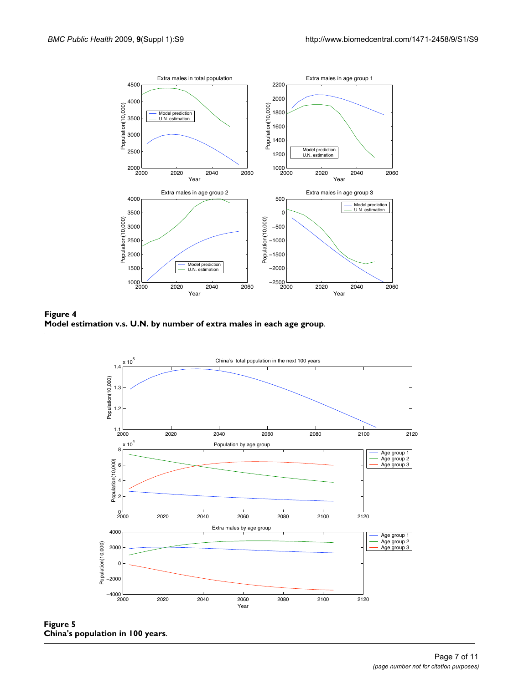

Model estimation v.s. U.N. by numbe **Figure 4** r of extra males in each age group **Model estimation v.s. U.N. by number of extra males in each age group**.



**Figure 5 China's population in 100 years**.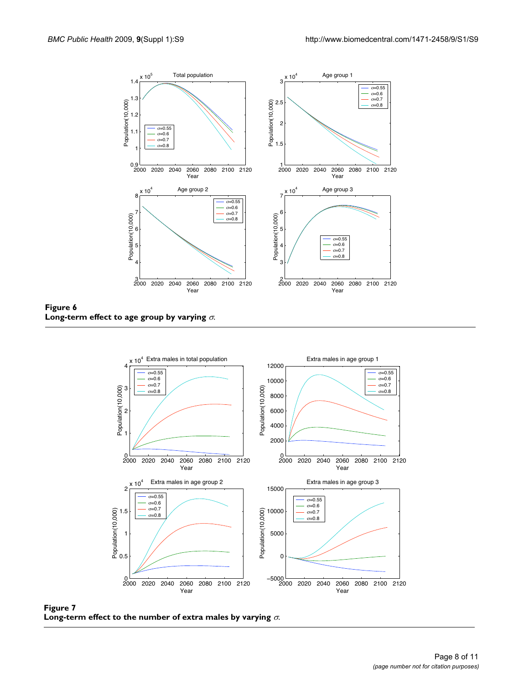

**Figure 6** Long-term effect to age group by varying  $\sigma$ .



**Figure 7** Long-term effect to the number of extra males by varying  $\sigma$ .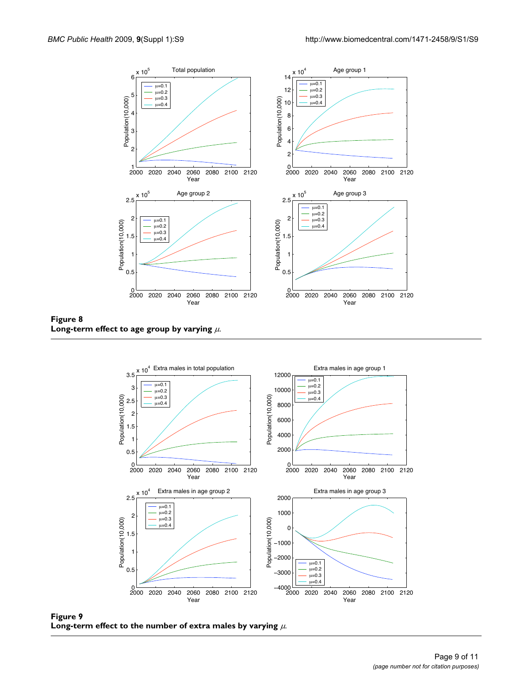

**Figure 8** Long-term effect to age group by varying  $\mu$ .



**Figure 9** Long-term effect to the number of extra males by varying  $\mu$ .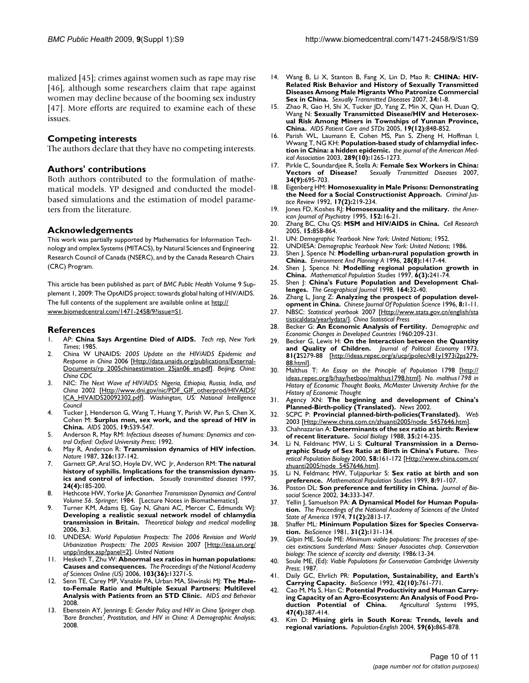malized [45]; crimes against women such as rape may rise [46], although some researchers claim that rape against women may decline because of the booming sex industry [47]. More efforts are required to examine each of these issues.

#### **Competing interests**

The authors declare that they have no competing interests.

#### **Authors' contributions**

Both authors contributed to the formulation of mathematical models. YP designed and conducted the modelbased simulations and the estimation of model parameters from the literature.

#### **Acknowledgements**

This work was partially supported by Mathematics for Information Technology and omplex Systems (MITACS), by Natural Sciences and Engineering Research Council of Canada (NSERC), and by the Canada Research Chairs (CRC) Program.

This article has been published as part of *BMC Public Health* Volume 9 Supplement 1, 2009: The OptAIDS project: towards global halting of HIV/AIDS. The full contents of the supplement are available online at [http://](http://www.biomedcentral.com/1471-2458/9?issue=S1) [www.biomedcentral.com/1471-2458/9?issue=S1](http://www.biomedcentral.com/1471-2458/9?issue=S1).

#### **References**

- 1. AP: **China Says Argentine Died of AIDS.** *Tech rep, New York Times*; 1985.
- 2. China W UNAIDS: *2005 Update on the HIV/AIDS Epidemic and Response in China* 2006 [\[Http://data.unaids.org/publications/External-](Http://data.unaids.org/publications/External-Documents/rp_2005chinaestimation_25jan06_en.pdf)[Documents/rp\\_2005chinaestimation\\_25jan06\\_en.pdf](Http://data.unaids.org/publications/External-Documents/rp_2005chinaestimation_25jan06_en.pdf)]. *Beijing, China: China CDC*
- 3. NIC: *The Next Wave of HIV/AIDS: Nigeria, Ethiopia, Russia, India, and China* 2002 [[Http://www.dni.gov/nic/PDF\\_GIF\\_otherprod/HIVAIDS/](Http://www.dni.gov/nic/PDF_GIF_otherprod/HIVAIDS/ICA_HIVAIDS20092302.pdf) [ICA\\_HIVAIDS20092302.pdf\]](Http://www.dni.gov/nic/PDF_GIF_otherprod/HIVAIDS/ICA_HIVAIDS20092302.pdf). *Washington, US: National Intelligence Council*
- Tucker J, Henderson G, Wang T, Huang Y, Parish W, Pan S, Chen X, Cohen M: **[Surplus men, sex work, and the spread of HIV in](http://www.ncbi.nlm.nih.gov/entrez/query.fcgi?cmd=Retrieve&db=PubMed&dopt=Abstract&list_uids=15802971) [China.](http://www.ncbi.nlm.nih.gov/entrez/query.fcgi?cmd=Retrieve&db=PubMed&dopt=Abstract&list_uids=15802971)** *AIDS* 2005, **19:**539-547.
- 5. Anderson R, May RM: *Infectious diseases of humans: Dynamics and control Oxford: Oxford University Press*; 1992.
- 6. May R, Anderson R: **[Transmission dynamics of HIV infection.](http://www.ncbi.nlm.nih.gov/entrez/query.fcgi?cmd=Retrieve&db=PubMed&dopt=Abstract&list_uids=3821890)** *Nature* 1987, **326:**137-142.
- 7. Garnett GP, Aral SO, Hoyle DV, WC Jr, Anderson RM: **[The natural](http://www.ncbi.nlm.nih.gov/entrez/query.fcgi?cmd=Retrieve&db=PubMed&dopt=Abstract&list_uids=9101629) [history of syphilis. Implications for the transmission dynam](http://www.ncbi.nlm.nih.gov/entrez/query.fcgi?cmd=Retrieve&db=PubMed&dopt=Abstract&list_uids=9101629)[ics and control of infection.](http://www.ncbi.nlm.nih.gov/entrez/query.fcgi?cmd=Retrieve&db=PubMed&dopt=Abstract&list_uids=9101629)** *Sexually transmitted diseases* 1997, **24(4):**185-200.
- 8. Hethcote HW, Yorke JA: *Gonorrhea Transmission Dynamics and Control Volume 56*. *Springer*; 1984. [Lecture Notes in Biomathematics].
- 9. Turner KM, Adams EJ, Gay N, Ghani AC, Mercer C, Edmunds WJ: **Developing a realistic sexual network model of chlamydia transmission in Britain.** *Theoretical biology and medical modelling* 2006, **3:**3.
- 10. UNDESA: *World Population Prospects: The 2006 Revision and World Urbanization Prospects: The 2005 Revision* 2007 [[Http://esa.un.org/](Http://esa.un.org/unpp/index.asp?panel=2) [unpp/index.asp?panel=2\]](Http://esa.un.org/unpp/index.asp?panel=2). *United Nations*
- 11. Hesketh T, Zhu W: **Abnormal sex ratios in human populations: Causes and consequences.** *The Proceedings of the National Academy of Sciences Online (US)* 2006, **103(36):**13271-5.
- 12. Senn TE, Carey MP, Vanable PA, Urban MA, Sliwinski MJ: **The Maleto-Female Ratio and Multiple Sexual Partners: Multilevel Analysis with Patients from an STD Clinic.** *AIDS and Behavior* 2008.
- 13. Ebenstein AY, Jennings E: *Gender Policy and HIV in China Springer chap. 'Bare Branches', Prostitution, and HIV in China: A Demographic Analysis*; 2008.
- 14. Wang B, Li X, Stanton B, Fang X, Lin D, Mao R: **[CHINA: HIV-](http://www.ncbi.nlm.nih.gov/entrez/query.fcgi?cmd=Retrieve&db=PubMed&dopt=Abstract&list_uids=16755272)[Related Risk Behavior and History of Sexually Transmitted](http://www.ncbi.nlm.nih.gov/entrez/query.fcgi?cmd=Retrieve&db=PubMed&dopt=Abstract&list_uids=16755272) Diseases Among Male Migrants Who Patronize Commercial [Sex in China.](http://www.ncbi.nlm.nih.gov/entrez/query.fcgi?cmd=Retrieve&db=PubMed&dopt=Abstract&list_uids=16755272)** *Sexually Transmitted Diseases* 2007, **34:**1-8.
- 15. Zhao R, Gao H, Shi X, Tucker JD, Yang Z, Min X, Qian H, Duan Q, Wang N: **Sexually Transmitted Disease/HIV and Heterosexual Risk Among Miners in Townships of Yunnan Province, China.** *AIDS Patient Care and STDs* 2005, **19(12):**848-852.
- 16. Parish WL, Laumann E, Cohen MS, Pan S, Zheng H, Hoffman I, Wwang T, NG KH: **Population-based study of chlamydial infection in China: a hidden epidemic.** *the journal of the American Medical Association* 2003, **289(10):**1265-1273.
- 17. Pirkle C, Soundardjee R, Stella A: **[Female Sex Workers in China:](http://www.ncbi.nlm.nih.gov/entrez/query.fcgi?cmd=Retrieve&db=PubMed&dopt=Abstract&list_uids=17507838) [Vectors of Disease?](http://www.ncbi.nlm.nih.gov/entrez/query.fcgi?cmd=Retrieve&db=PubMed&dopt=Abstract&list_uids=17507838)** *Sexually Transmitted Diseases* 2007, **Vectors of Disease?**<br>**34(9):**695-703.
- 18. Eigenberg HM: **Homosexuality in Male Prisons: Demonstrating the Need for a Social Constructionist Approach.** *Criminal Justice Review* 1992, **17(2):**219-234.
- 19. Jones FD, Koshes RJ: **[Homosexuality and the military.](http://www.ncbi.nlm.nih.gov/entrez/query.fcgi?cmd=Retrieve&db=PubMed&dopt=Abstract&list_uids=7802115)** *the American Journal of Psychiatry* 1995, 152:16-2
- 20. Zhang BC, Chu QS: **[MSM and HIV/AIDS in China.](http://www.ncbi.nlm.nih.gov/entrez/query.fcgi?cmd=Retrieve&db=PubMed&dopt=Abstract&list_uids=16354560)** *Cell Research* 2005, **15:**858-864.
- 21. UN: *Demographic Yearbook New York: United Nations*; 1952.
- 
- 22. UNDIESA: *Demographic Yearbook New York: United Nations*; 1986. Shen J, Spence N: Modelling urban-rural population growth in **China.** *Environment And Planning A* 1996, **28(8):**1417-44.
- 24. Shen J, Spence N: **[Modelling regional population growth in](http://www.ncbi.nlm.nih.gov/entrez/query.fcgi?cmd=Retrieve&db=PubMed&dopt=Abstract&list_uids=12292514) [China.](http://www.ncbi.nlm.nih.gov/entrez/query.fcgi?cmd=Retrieve&db=PubMed&dopt=Abstract&list_uids=12292514)** *Mathematical Population Studies* 1997, **6(3):**241-74.
- 25. Shen J: **China's Future Population and Development Challenges.** *The Geographical Journal* 1998, **164:**32-40.
- 26. Zhang L, Jiang Z: **[Analyzing the prospect of population devel](http://www.ncbi.nlm.nih.gov/entrez/query.fcgi?cmd=Retrieve&db=PubMed&dopt=Abstract&list_uids=12291448)[opment in China.](http://www.ncbi.nlm.nih.gov/entrez/query.fcgi?cmd=Retrieve&db=PubMed&dopt=Abstract&list_uids=12291448)** *Chinese Journal Of Population Science* 1996, **8:**1-11.
- 27. NBSC: *Statistical yearbook* 2007 [[Http://www.stats.gov.cn/english/sta](Http://www.stats.gov.cn/english/statisticaldata/yearlydata/) [tisticaldata/yearlydata/](Http://www.stats.gov.cn/english/statisticaldata/yearlydata/)]. *China Statistical Press*
- 28. Becker G: **An Economic Analysis of Fertility.** *Demographic and Economic Changes in Developed Countries* 1960:209-231.
- 29. Becker G, Lewis H: **On the Interaction between the Quantity and Quality of Children.** *Journal of Political Economy* 1973, **81(2**S279-88 [[http://ideas.repec.org/a/ucp/jpolec/v81y1973i2ps279-](http://ideas.repec.org/a/ucp/jpolec/v81y1973i2ps279-88.html) [88.html](http://ideas.repec.org/a/ucp/jpolec/v81y1973i2ps279-88.html)].
- 30. Malthus T: *An Essay on the Principle of Population* 1798 [\[http://](http://ideas.repec.org/b/hay/hetboo/malthus1798.html) [ideas.repec.org/b/hay/hetboo/malthus1798.html\]](http://ideas.repec.org/b/hay/hetboo/malthus1798.html). *No. malthus1798 in History of Economic Thought Books, McMaster University Archive for the History of Economic Thought*
- 31. Agency XN: **The beginning and development of China's Planned-Birth-policy (Translated).** *News* 2002.
- 32. SCPC P: **Provincial planned-birth-policies(Translated).** *Web* 2003 [[Http://www.china.com.cn/zhuanti2005/node\\_5457646.htm\]](Http://www.china.com.cn/zhuanti2005/node_5457646.htm).
- 33. Chahnazarian A: **[Determinants of the sex ratio at birth: Review](http://www.ncbi.nlm.nih.gov/entrez/query.fcgi?cmd=Retrieve&db=PubMed&dopt=Abstract&list_uids=3071849) [of recent literature.](http://www.ncbi.nlm.nih.gov/entrez/query.fcgi?cmd=Retrieve&db=PubMed&dopt=Abstract&list_uids=3071849)** *Social Biology* 1988, **35:**214-235.
- 34. Li N, Feldmanc MW, Li S: **[Cultural Transmission in a Demo](http://www.ncbi.nlm.nih.gov/entrez/query.fcgi?cmd=Retrieve&db=PubMed&dopt=Abstract&list_uids=11042106)[graphic Study of Sex Ratio at Birth in China's Future.](http://www.ncbi.nlm.nih.gov/entrez/query.fcgi?cmd=Retrieve&db=PubMed&dopt=Abstract&list_uids=11042106)** *Theoretical Population Biology* 2000, **58:**161-172 [[Http://www.china.com.cn/](Http://www.china.com.cn/zhuanti2005/node_5457646.htm) [zhuanti2005/node\\_5457646.htm](Http://www.china.com.cn/zhuanti2005/node_5457646.htm)].
- 35. Li N, Feldmanc MW, Tuljapurkar S: **Sex ratio at birth and son preference.** *Mathematical Population Studies* 1999, **8:**91-107.
- 36. Poston DL: **[Son preference and fertility in China.](http://www.ncbi.nlm.nih.gov/entrez/query.fcgi?cmd=Retrieve&db=PubMed&dopt=Abstract&list_uids=12117213)** *Journal of Biosocial Science* 2002, **34:**333-347.
- 37. Yellin J, Samuelson PA: A Dynamical Model for Human Popula**tion.** *The Proceedings of the National Academy of Sciences of the United State of America* 1974, **71(2):**2813-17.
- 38. Shaffer ML: **Minimum Population Sizes for Species Conservation.** *BioScience* 1981, **31(2):**131-134.
- 39. Gilpin ME, Soule ME: *Minimum viable populations: The processes of species extinctions Sunderland Mass: Sinauer Associates chap. Conservation biology: The science of scarcity and diversity*; 1986:13-34.
- 40. Soule ME, (Ed): *Viable Populations for Conservation Cambridge University Press*; 1987.
- 41. Daily GC, Ehrlich PR: **Population, Sustainability, and Earth's Carrying Capacity.** *BioScience* 1992, **42(10):**761-771.
- 42. Cao M, Ma S, Han C: **Potential Productivity and Human Carrying Capacity of an Agro-Ecosystem: An Analysis of Food Pro**duction Potential of China. **47(4):**387-414.
- 43. Kim D: **Missing girls in South Korea: Trends, levels and regional variations.** *Population-English* 2004, **59(6):**865-878.